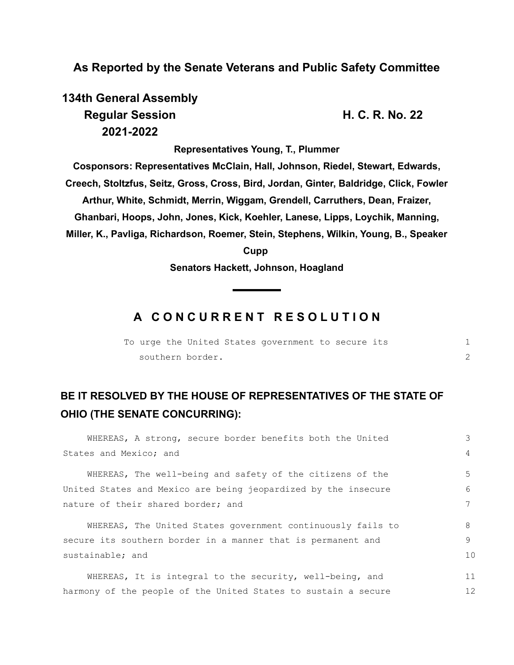### **As Reported by the Senate Veterans and Public Safety Committee**

**134th General Assembly Regular Session H. C. R. No. 22 2021-2022**

**Representatives Young, T., Plummer**

**Cosponsors: Representatives McClain, Hall, Johnson, Riedel, Stewart, Edwards, Creech, Stoltzfus, Seitz, Gross, Cross, Bird, Jordan, Ginter, Baldridge, Click, Fowler Arthur, White, Schmidt, Merrin, Wiggam, Grendell, Carruthers, Dean, Fraizer, Ghanbari, Hoops, John, Jones, Kick, Koehler, Lanese, Lipps, Loychik, Manning, Miller, K., Pavliga, Richardson, Roemer, Stein, Stephens, Wilkin, Young, B., Speaker Cupp** 

**Senators Hackett, Johnson, Hoagland**

## **A C O N C U R R E N T R E S O L U T I O N**

|  |                  | To urge the United States government to secure its |  |  |
|--|------------------|----------------------------------------------------|--|--|
|  | southern border. |                                                    |  |  |

# **BE IT RESOLVED BY THE HOUSE OF REPRESENTATIVES OF THE STATE OF OHIO (THE SENATE CONCURRING):**

| WHEREAS, A strong, secure border benefits both the United      | 3  |  |  |  |  |  |  |
|----------------------------------------------------------------|----|--|--|--|--|--|--|
| States and Mexico; and                                         |    |  |  |  |  |  |  |
| WHEREAS, The well-being and safety of the citizens of the      | .5 |  |  |  |  |  |  |
| United States and Mexico are being jeopardized by the insecure | 6  |  |  |  |  |  |  |
| nature of their shared border; and                             |    |  |  |  |  |  |  |
|                                                                |    |  |  |  |  |  |  |
| WHEREAS, The United States government continuously fails to    | 8  |  |  |  |  |  |  |
| secure its southern border in a manner that is permanent and   | 9  |  |  |  |  |  |  |
| sustainable; and                                               |    |  |  |  |  |  |  |
|                                                                |    |  |  |  |  |  |  |
| WHEREAS, It is integral to the security, well-being, and       | 11 |  |  |  |  |  |  |
| harmony of the people of the United States to sustain a secure |    |  |  |  |  |  |  |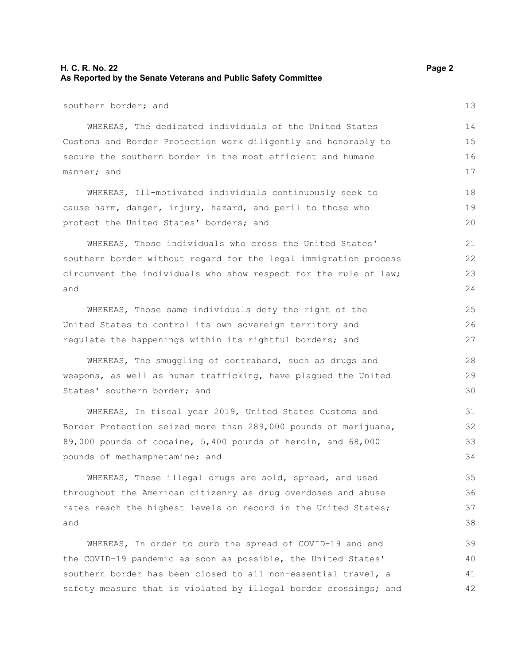### **H. C. R. No. 22 Page 2 As Reported by the Senate Veterans and Public Safety Committee**

southern border; and WHEREAS, The dedicated individuals of the United States Customs and Border Protection work diligently and honorably to secure the southern border in the most efficient and humane manner; and

WHEREAS, Ill-motivated individuals continuously seek to cause harm, danger, injury, hazard, and peril to those who protect the United States' borders; and

WHEREAS, Those individuals who cross the United States' southern border without regard for the legal immigration process circumvent the individuals who show respect for the rule of law; and

WHEREAS, Those same individuals defy the right of the United States to control its own sovereign territory and regulate the happenings within its rightful borders; and

WHEREAS, The smuggling of contraband, such as drugs and weapons, as well as human trafficking, have plagued the United States' southern border; and

WHEREAS, In fiscal year 2019, United States Customs and Border Protection seized more than 289,000 pounds of marijuana, 89,000 pounds of cocaine, 5,400 pounds of heroin, and 68,000 pounds of methamphetamine; and

WHEREAS, These illegal drugs are sold, spread, and used throughout the American citizenry as drug overdoses and abuse rates reach the highest levels on record in the United States; and

WHEREAS, In order to curb the spread of COVID-19 and end the COVID-19 pandemic as soon as possible, the United States' southern border has been closed to all non-essential travel, a safety measure that is violated by illegal border crossings; and 39 40 41 42

13

14

17

18 19 20

25 26 27

28 29 30

15 16